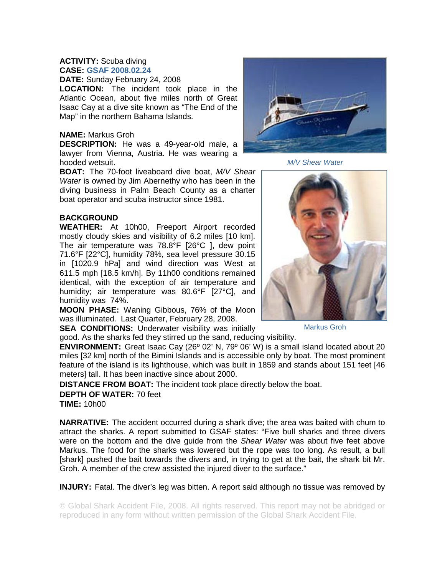## **ACTIVITY:** Scuba diving **CASE: GSAF 2008.02.24**

**DATE:** Sunday February 24, 2008

**LOCATION:** The incident took place in the Atlantic Ocean, about five miles north of Great Isaac Cay at a dive site known as "The End of the Map" in the northern Bahama Islands.

## **NAME:** Markus Groh

**DESCRIPTION:** He was a 49-year-old male, a lawyer from Vienna, Austria. He was wearing a hooded wetsuit.

**BOAT:** The 70-foot liveaboard dive boat, *M/V Shear Water* is owned by Jim Abernethy who has been in the diving business in Palm Beach County as a charter boat operator and scuba instructor since 1981.

## **BACKGROUND**

**WEATHER:** At 10h00, Freeport Airport recorded mostly cloudy skies and visibility of 6.2 miles [10 km]. The air temperature was 78.8°F [26°C ], dew point 71.6°F [22°C], humidity 78%, sea level pressure 30.15 in [1020.9 hPa] and wind direction was West at 611.5 mph [18.5 km/h]. By 11h00 conditions remained identical, with the exception of air temperature and humidity; air temperature was 80.6°F [27°C], and humidity was 74%.

**MOON PHASE:** Waning Gibbous, 76% of the Moon was illuminated. Last Quarter, February 28, 2008.

**SEA CONDITIONS:** Underwater visibility was initially good. As the sharks fed they stirred up the sand, reducing visibility.

**ENVIRONMENT:** Great Isaac Cay (26º 02' N, 79º 06' W) is a small island located about 20 miles [32 km] north of the Bimini Islands and is accessible only by boat. The most prominent feature of the island is its lighthouse, which was built in 1859 and stands about 151 feet [46 meters] tall. It has been inactive since about 2000.

**DISTANCE FROM BOAT:** The incident took place directly below the boat.

## **DEPTH OF WATER:** 70 feet

**TIME:** 10h00

**NARRATIVE:** The accident occurred during a shark dive; the area was baited with chum to attract the sharks. A report submitted to GSAF states: "Five bull sharks and three divers were on the bottom and the dive guide from the *Shear Water* was about five feet above Markus. The food for the sharks was lowered but the rope was too long. As result, a bull [shark] pushed the bait towards the divers and, in trying to get at the bait, the shark bit Mr. Groh. A member of the crew assisted the injured diver to the surface."

**INJURY:** Fatal. The diver's leg was bitten. A report said although no tissue was removed by

© Global Shark Accident File, 2008. All rights reserved. This report may not be abridged or reproduced in any form without written permission of the Global Shark Accident File.

*M/V Shear Water* 



Markus Groh